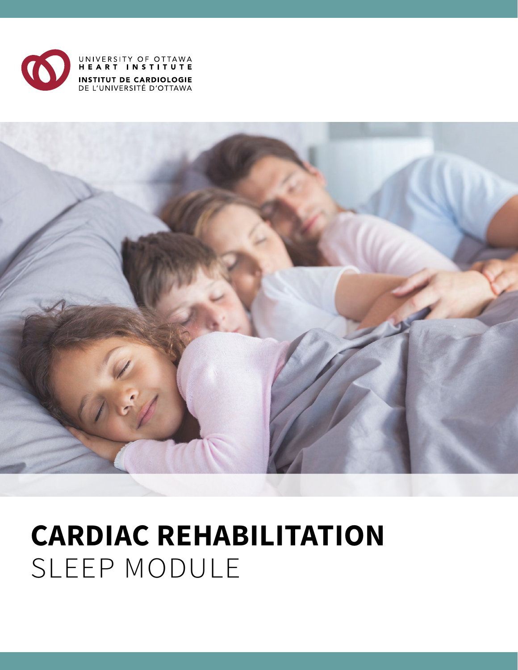



# **CARDIAC REHABILITATION**  SLEEP MODULE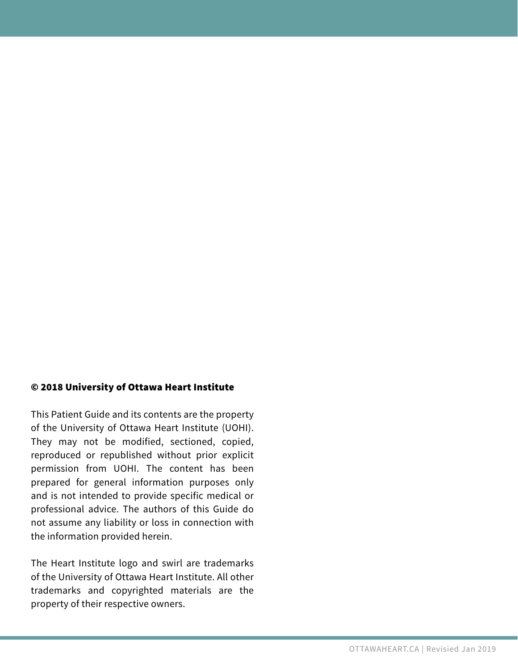## © 2018 University of Ottawa Heart Institute

This Patient Guide and its contents are the property of the University of Ottawa Heart Institute (UOHI). They may not be modified, sectioned, copied, reproduced or republished without prior explicit permission from UOHI. The content has been prepared for general information purposes only and is not intended to provide specific medical or professional advice. The authors of this Guide do not assume any liability or loss in connection with the information provided herein.

The Heart Institute logo and swirl are trademarks of the University of Ottawa Heart Institute. All other trademarks and copyrighted materials are the property of their respective owners.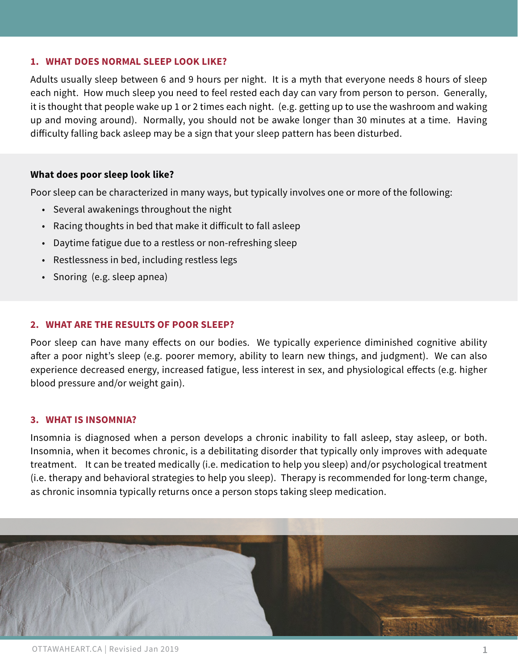#### **1. WHAT DOES NORMAL SLEEP LOOK LIKE?**

Adults usually sleep between 6 and 9 hours per night. It is a myth that everyone needs 8 hours of sleep each night. How much sleep you need to feel rested each day can vary from person to person. Generally, it is thought that people wake up 1 or 2 times each night. (e.g. getting up to use the washroom and waking up and moving around). Normally, you should not be awake longer than 30 minutes at a time. Having dificulty falling back asleep may be a sign that your sleep pattern has been disturbed.

#### **What does poor sleep look like?**

Poor sleep can be characterized in many ways, but typically involves one or more of the following:

- Several awakenings throughout the night
- Racing thoughts in bed that make it dificult to fall asleep
- Daytime fatigue due to a restless or non-refreshing sleep
- Restlessness in bed, including restless legs
- Snoring (e.g. sleep apnea)

#### **2. WHAT ARE THE RESULTS OF POOR SLEEP?**

Poor sleep can have many effects on our bodies. We typically experience diminished cognitive ability afer a poor night's sleep (e.g. poorer memory, ability to learn new things, and judgment). We can also experience decreased energy, increased fatigue, less interest in sex, and physiological efects (e.g. higher blood pressure and/or weight gain).

## **3. WHAT IS INSOMNIA?**

as chronic insomnia typically returns once a person stops taking sleep medication. Insomnia is diagnosed when a person develops a chronic inability to fall asleep, stay asleep, or both. Insomnia, when it becomes chronic, is a debilitating disorder that typically only improves with adequate treatment. It can be treated medically (i.e. medication to help you sleep) and/or psychological treatment (i.e. therapy and behavioral strategies to help you sleep). Therapy is recommended for long-term change,